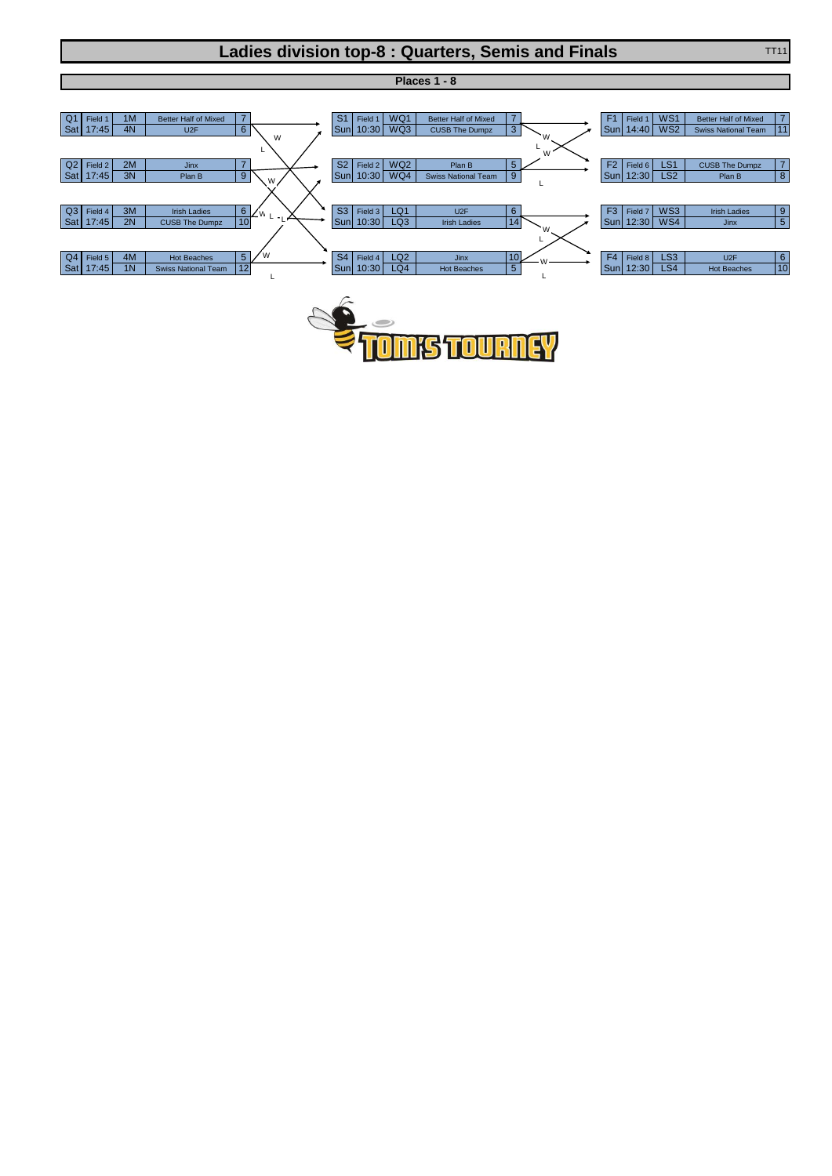## **Ladies division top-8 : Quarters, Semis and Finals** TT11 TT11



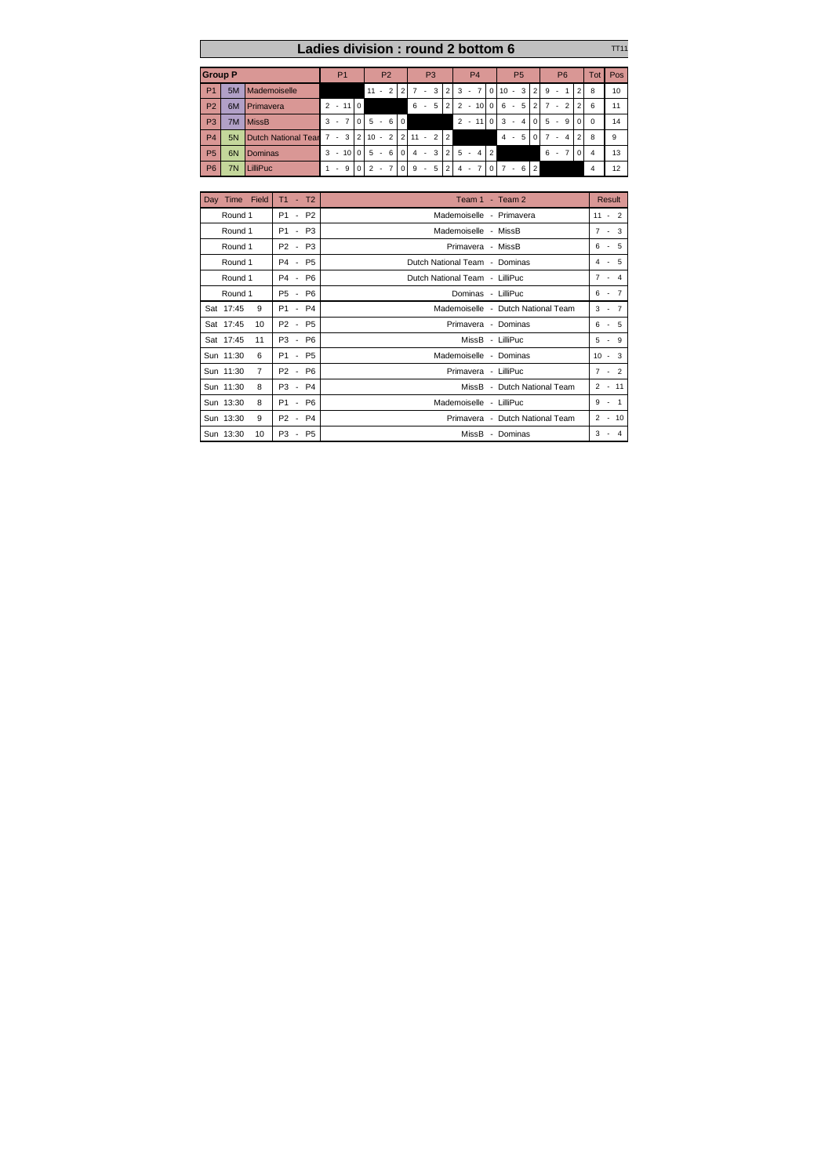|                | Ladies division: round 2 bottom 6<br><b>TT11</b> |                           |                |                 |          |                |                          |                |                |                        |        |                |                |                |        |                |          |                |                          |                         |                |                |              |                |                |                |     |
|----------------|--------------------------------------------------|---------------------------|----------------|-----------------|----------|----------------|--------------------------|----------------|----------------|------------------------|--------|----------------|----------------|----------------|--------|----------------|----------|----------------|--------------------------|-------------------------|----------------|----------------|--------------|----------------|----------------|----------------|-----|
| <b>Group P</b> |                                                  |                           | P <sub>1</sub> |                 |          | P <sub>2</sub> |                          |                |                | P <sub>3</sub>         |        |                |                | P <sub>4</sub> |        |                |          | P <sub>5</sub> |                          |                         |                | <b>P6</b>      |              |                |                | Tot            | Pos |
| P <sub>1</sub> | 5M                                               | Mademoiselle              |                |                 |          | 11             | $\overline{\phantom{a}}$ | $\overline{2}$ | $\overline{2}$ | $\overline{7}$         | $\sim$ | 3 <sup>1</sup> | $\overline{2}$ | 3              | $\sim$ | $\overline{7}$ |          | $0 \t10 -$     |                          | 3 <sup>1</sup>          | $\overline{2}$ | 9              | ٠            |                | $\overline{2}$ | 8              | 10  |
| P <sub>2</sub> | 6M                                               | Primavera                 | $\mathcal{P}$  | $-110$          |          |                |                          |                |                | 6                      | $\sim$ | 5              | $\overline{2}$ | $\overline{2}$ | $-10$  |                | $\Omega$ | 6              | $\sim$                   | 5                       | $\overline{2}$ | $\overline{7}$ | $\mathbf{r}$ | $\overline{2}$ | 2              | 6              | 11  |
| P <sub>3</sub> | 7M                                               | <b>MissB</b>              | 3<br>٠         | $\overline{7}$  | $\Omega$ | 5              | $\sim$                   | 6              | $\Omega$       |                        |        |                |                |                | $2 -$  | 11             | $\Omega$ | 3              | $\overline{\phantom{a}}$ | $\overline{\mathbf{4}}$ | $\Omega$       | 5              | $\sim$       | 9              | $\cap$         | $\Omega$       | 14  |
| P <sub>4</sub> | 5N                                               | Dutch National Tear 7 - 3 |                |                 |          | $210 -$        |                          | $\overline{2}$ |                | $2 \mid 11 - 2 \mid 2$ |        |                |                |                |        |                |          | $4 -$          |                          | 5                       | $\Omega$       | $\overline{7}$ | $\sim$       | 4              | $\mathcal{P}$  | 8              | 9   |
| <b>P5</b>      | 6N                                               | Dominas                   | 3<br>٠         | 10 <sup>1</sup> | $\Omega$ | 5              | $\sim$                   | 6              | $\Omega$       |                        |        | $4 - 3$        | $\overline{2}$ | $5 -$          |        | 4 2            |          |                |                          |                         |                | 6              | $\sim$       | $\overline{7}$ | $\Omega$       | $\overline{4}$ | 13  |
| P <sub>6</sub> | 7N                                               | LilliPuc                  | ×.             | 9               | $\Omega$ | $\overline{2}$ | $\mathbf{r}$             | $\overline{7}$ | $\Omega$       | 9                      | ×.     | 5 <sup>1</sup> | $\overline{2}$ | $\overline{4}$ | $\sim$ | 7'             | $\Omega$ |                | $7 - 6$                  |                         | $\overline{2}$ |                |              |                |                | $\overline{4}$ | 12  |

| Day Time Field               | $T1 - T2$                       | Team 1 - Team 2                    | Result    |
|------------------------------|---------------------------------|------------------------------------|-----------|
| Round 1                      | P1 - P2                         | Mademoiselle - Primavera           | $11 - 2$  |
| Round 1                      | P1 - P3                         | Mademoiselle - MissB               | $7 - 3$   |
| Round 1                      | P2 - P3                         | Primavera - MissB                  | $6 - 5$   |
| Round 1                      | P4 - P5                         | Dutch National Team - Dominas      | $4 - 5$   |
| Round 1                      | P4 - P6                         | Dutch National Team - LilliPuc     | $7 - 4$   |
| Round 1                      | P5 - P6                         | Dominas - LilliPuc                 | $6 - 7$   |
| Sat 17:45<br>9               | P1 - P4                         | Mademoiselle - Dutch National Team | $3 - 7$   |
| Sat 17:45<br>10 <sup>1</sup> | P2 - P5                         | Primavera - Dominas                | $6 - 5$   |
| Sat 17:45<br>11              | P3 - P6                         | MissB - LilliPuc                   | $5 - 9$   |
| Sun 11:30<br>6               | P1 - P5                         | Mademoiselle - Dominas             | $10 - 3$  |
| Sun 11:30<br>$\overline{7}$  | P <sub>2</sub> - P <sub>6</sub> | Primavera - LilliPuc               | $7 - 2$   |
| Sun 11:30<br>8               | P3 - P4                         | MissB - Dutch National Team        | $2 - 11$  |
| Sun 13:30<br>8               | P1 - P6                         | Mademoiselle - LilliPuc            | $9 - 1$   |
| Sun 13:30<br>9               | P <sub>2</sub> - P <sub>4</sub> | Primavera - Dutch National Team    | $2 - 10$  |
| Sun 13:30<br>10 <sup>1</sup> | P3 - P5                         | MissB - Dominas                    | 3<br>$-4$ |